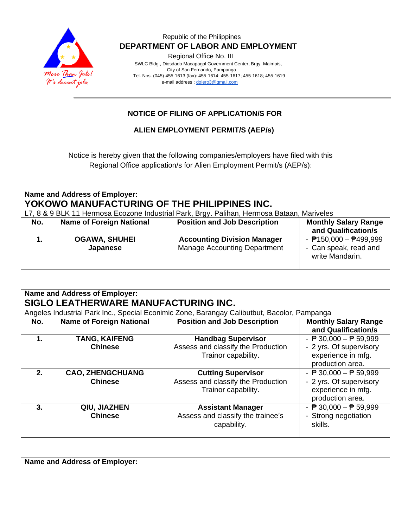

Regional Office No. III

 SWLC Bldg., Diosdado Macapagal Government Center, Brgy. Maimpis, City of San Fernando, Pampanga Tel. Nos. (045)-455-1613 (fax): 455-1614; 455-1617; 455-1618; 455-1619 e-mail address [: dolero3@gmail.com](mailto:dolero3@gmail.com)

## **NOTICE OF FILING OF APPLICATION/S FOR**

**ALIEN EMPLOYMENT PERMIT/S (AEP/s)**

Notice is hereby given that the following companies/employers have filed with this Regional Office application/s for Alien Employment Permit/s (AEP/s):

| Name and Address of Employer:<br>YOKOWO MANUFACTURING OF THE PHILIPPINES INC.<br>L7, 8 & 9 BLK 11 Hermosa Ecozone Industrial Park, Brgy. Palihan, Hermosa Bataan, Mariveles |                                  |                                                                           |                                                                     |
|-----------------------------------------------------------------------------------------------------------------------------------------------------------------------------|----------------------------------|---------------------------------------------------------------------------|---------------------------------------------------------------------|
| No.                                                                                                                                                                         | <b>Name of Foreign National</b>  | <b>Position and Job Description</b>                                       | <b>Monthly Salary Range</b><br>and Qualification/s                  |
|                                                                                                                                                                             | <b>OGAWA, SHUHEI</b><br>Japanese | <b>Accounting Division Manager</b><br><b>Manage Accounting Department</b> | - $P150,000 - P499,999$<br>- Can speak, read and<br>write Mandarin. |

|                | <b>Name and Address of Employer:</b> |                                                                                             |                                                    |  |
|----------------|--------------------------------------|---------------------------------------------------------------------------------------------|----------------------------------------------------|--|
|                | SIGLO LEATHERWARE MANUFACTURING INC. |                                                                                             |                                                    |  |
|                |                                      | Angeles Industrial Park Inc., Special Econimic Zone, Barangay Calibutbut, Bacolor, Pampanga |                                                    |  |
| No.            | <b>Name of Foreign National</b>      | <b>Position and Job Description</b>                                                         | <b>Monthly Salary Range</b><br>and Qualification/s |  |
|                |                                      |                                                                                             |                                                    |  |
| $\mathbf 1$ .  | <b>TANG, KAIFENG</b>                 | <b>Handbag Supervisor</b>                                                                   | - $\overline{P}$ 30,000 - $\overline{P}$ 59,999    |  |
|                | <b>Chinese</b>                       | Assess and classify the Production                                                          | - 2 yrs. Of supervisory                            |  |
|                |                                      | Trainor capability.                                                                         | experience in mfg.                                 |  |
|                |                                      |                                                                                             | production area.                                   |  |
| 2 <sub>1</sub> | <b>CAO, ZHENGCHUANG</b>              | <b>Cutting Supervisor</b>                                                                   | - $\overline{P}$ 30,000 - $\overline{P}$ 59,999    |  |
|                | <b>Chinese</b>                       | Assess and classify the Production                                                          | - 2 yrs. Of supervisory                            |  |
|                |                                      | Trainor capability.                                                                         | experience in mfg.                                 |  |
|                |                                      |                                                                                             | production area.                                   |  |
| 3.             | QIU, JIAZHEN                         | <b>Assistant Manager</b>                                                                    | - $\overline{P}$ 30,000 - $\overline{P}$ 59,999    |  |
|                | <b>Chinese</b>                       | Assess and classify the trainee's                                                           | - Strong negotiation                               |  |
|                |                                      | capability.                                                                                 | skills.                                            |  |
|                |                                      |                                                                                             |                                                    |  |

| <b>Name and Address of Employer:</b> |  |  |  |
|--------------------------------------|--|--|--|
|--------------------------------------|--|--|--|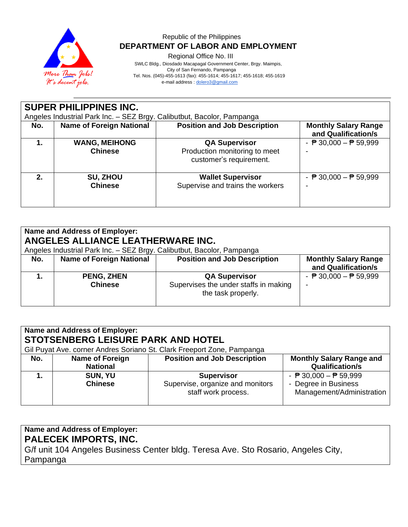

Regional Office No. III

 SWLC Bldg., Diosdado Macapagal Government Center, Brgy. Maimpis, City of San Fernando, Pampanga Tel. Nos. (045)-455-1613 (fax): 455-1614; 455-1617; 455-1618; 455-1619 e-mail address [: dolero3@gmail.com](mailto:dolero3@gmail.com)

**SUPER PHILIPPINES INC.** Angeles Industrial Park Inc. – SEZ Brgy. Calibutbut, Bacolor, Pampanga **No.** | Name of Foreign National | Position and Job Description | Monthly Salary Range **and Qualification/s 1. WANG, MEIHONG Chinese QA Supervisor** Production monitoring to meet customer's requirement.  $\overline{P}$  30,000  $\overline{P}$  59,999 - **2. SU, ZHOU Chinese Wallet Supervisor** Supervise and trains the workers  $\overline{P}$  30,000  $\overline{P}$  59,999 -

| Name and Address of Employer:<br>ANGELES ALLIANCE LEATHERWARE INC.<br>Angeles Industrial Park Inc. - SEZ Brgy. Calibutbut, Bacolor, Pampanga |                                     |                                                                                     |                                                    |  |
|----------------------------------------------------------------------------------------------------------------------------------------------|-------------------------------------|-------------------------------------------------------------------------------------|----------------------------------------------------|--|
| No.                                                                                                                                          | <b>Name of Foreign National</b>     | <b>Position and Job Description</b>                                                 | <b>Monthly Salary Range</b><br>and Qualification/s |  |
|                                                                                                                                              | <b>PENG, ZHEN</b><br><b>Chinese</b> | <b>QA Supervisor</b><br>Supervises the under staffs in making<br>the task properly. | - $\overline{P}$ 30,000 - $\overline{P}$ 59,999    |  |

| <b>Name and Address of Employer:</b><br>STOTSENBERG LEISURE PARK AND HOTEL<br>Gil Puyat Ave. corner Andres Soriano St. Clark Freeport Zone, Pampanga |                                           |                                                                              |                                                                                                      |  |
|------------------------------------------------------------------------------------------------------------------------------------------------------|-------------------------------------------|------------------------------------------------------------------------------|------------------------------------------------------------------------------------------------------|--|
| No.                                                                                                                                                  | <b>Name of Foreign</b><br><b>National</b> | <b>Position and Job Description</b>                                          | <b>Monthly Salary Range and</b><br><b>Qualification/s</b>                                            |  |
|                                                                                                                                                      | SUN, YU<br><b>Chinese</b>                 | <b>Supervisor</b><br>Supervise, organize and monitors<br>staff work process. | - $\overline{P}$ 30,000 - $\overline{P}$ 59,999<br>- Degree in Business<br>Management/Administration |  |

# **Name and Address of Employer:**

**PALECEK IMPORTS, INC.**

G/f unit 104 Angeles Business Center bldg. Teresa Ave. Sto Rosario, Angeles City, Pampanga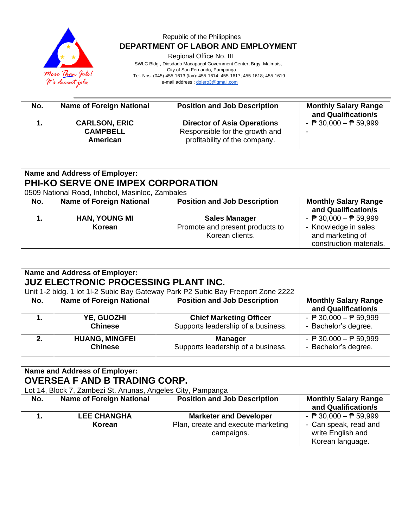

Regional Office No. III

 SWLC Bldg., Diosdado Macapagal Government Center, Brgy. Maimpis, City of San Fernando, Pampanga Tel. Nos. (045)-455-1613 (fax): 455-1614; 455-1617; 455-1618; 455-1619 e-mail address [: dolero3@gmail.com](mailto:dolero3@gmail.com)

| No. | <b>Name of Foreign National</b>                     | <b>Position and Job Description</b>                                                                   | <b>Monthly Salary Range</b><br>and Qualification/s |
|-----|-----------------------------------------------------|-------------------------------------------------------------------------------------------------------|----------------------------------------------------|
|     | <b>CARLSON, ERIC</b><br><b>CAMPBELL</b><br>American | <b>Director of Asia Operations</b><br>Responsible for the growth and<br>profitability of the company. | - $\overline{P}$ 30,000 - $\overline{P}$ 59,999    |

| Name and Address of Employer:<br>PHI-KO SERVE ONE IMPEX CORPORATION<br>0509 National Road, Inhobol, Masinloc, Zambales |                                 |                                                                            |                                                                                                                        |
|------------------------------------------------------------------------------------------------------------------------|---------------------------------|----------------------------------------------------------------------------|------------------------------------------------------------------------------------------------------------------------|
| No.                                                                                                                    | <b>Name of Foreign National</b> | <b>Position and Job Description</b>                                        | <b>Monthly Salary Range</b><br>and Qualification/s                                                                     |
|                                                                                                                        | <b>HAN, YOUNG MI</b><br>Korean  | <b>Sales Manager</b><br>Promote and present products to<br>Korean clients. | - $\overline{P}$ 30,000 - $\overline{P}$ 59,999<br>- Knowledge in sales<br>and marketing of<br>construction materials. |

| <b>Name and Address of Employer:</b><br><b>JUZ ELECTRONIC PROCESSING PLANT INC.</b><br>Unit 1-2 bldg. 1 lot 1l-2 Subic Bay Gateway Park P2 Subic Bay Freeport Zone 2222 |                                 |                                     |                                                    |  |
|-------------------------------------------------------------------------------------------------------------------------------------------------------------------------|---------------------------------|-------------------------------------|----------------------------------------------------|--|
| No.                                                                                                                                                                     | <b>Name of Foreign National</b> | <b>Position and Job Description</b> | <b>Monthly Salary Range</b><br>and Qualification/s |  |
| 1.                                                                                                                                                                      | YE, GUOZHI                      | <b>Chief Marketing Officer</b>      | - $\overline{P}$ 30,000 - $\overline{P}$ 59,999    |  |
|                                                                                                                                                                         | <b>Chinese</b>                  | Supports leadership of a business.  | - Bachelor's degree.                               |  |
| 2.                                                                                                                                                                      | <b>HUANG, MINGFEI</b>           | <b>Manager</b>                      | - $\overline{P}$ 30,000 - $\overline{P}$ 59,999    |  |
|                                                                                                                                                                         | <b>Chinese</b>                  | Supports leadership of a business.  | - Bachelor's degree.                               |  |

## **Name and Address of Employer: OVERSEA F AND B TRADING CORP.**

|     | Lot 14, Block 7, Zambezi St. Anunas, Angeles City, Pampanga |                                     |                                                 |  |  |
|-----|-------------------------------------------------------------|-------------------------------------|-------------------------------------------------|--|--|
| No. | <b>Name of Foreign National</b>                             | <b>Position and Job Description</b> | <b>Monthly Salary Range</b>                     |  |  |
|     |                                                             |                                     | and Qualification/s                             |  |  |
|     | <b>LEE CHANGHA</b>                                          | <b>Marketer and Developer</b>       | - $\overline{P}$ 30,000 - $\overline{P}$ 59,999 |  |  |
|     | Korean                                                      | Plan, create and execute marketing  | - Can speak, read and                           |  |  |
|     |                                                             | campaigns.                          | write English and                               |  |  |
|     |                                                             |                                     | Korean language.                                |  |  |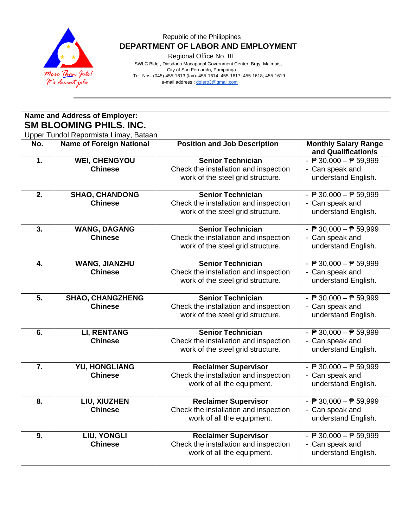

Regional Office No. III

 SWLC Bldg., Diosdado Macapagal Government Center, Brgy. Maimpis, City of San Fernando, Pampanga Tel. Nos. (045)-455-1613 (fax): 455-1614; 455-1617; 455-1618; 455-1619 e-mail address [: dolero3@gmail.com](mailto:dolero3@gmail.com)

|                  | Name and Address of Employer:                                            |                                                                                                        |                                                                                                               |  |
|------------------|--------------------------------------------------------------------------|--------------------------------------------------------------------------------------------------------|---------------------------------------------------------------------------------------------------------------|--|
|                  | <b>SM BLOOMING PHILS. INC.</b>                                           |                                                                                                        |                                                                                                               |  |
| No.              | Upper Tundol Repormista Limay, Bataan<br><b>Name of Foreign National</b> | <b>Position and Job Description</b>                                                                    | <b>Monthly Salary Range</b><br>and Qualification/s                                                            |  |
| 1.               | <b>WEI, CHENGYOU</b><br><b>Chinese</b>                                   | <b>Senior Technician</b><br>Check the installation and inspection<br>work of the steel grid structure. | - $\overline{P}$ 30,000 - $\overline{P}$ 59,999<br>- Can speak and<br>understand English.                     |  |
| 2.               | <b>SHAO, CHANDONG</b><br><b>Chinese</b>                                  | <b>Senior Technician</b><br>Check the installation and inspection<br>work of the steel grid structure. | - $\overline{P}$ 30,000 - $\overline{P}$ 59,999<br>- Can speak and<br>understand English.                     |  |
| 3.               | <b>WANG, DAGANG</b><br><b>Chinese</b>                                    | <b>Senior Technician</b><br>Check the installation and inspection<br>work of the steel grid structure. | - $\overline{P}$ 30,000 - $\overline{P}$ 59,999<br>- Can speak and<br>understand English.                     |  |
| 4.               | <b>WANG, JIANZHU</b><br><b>Chinese</b>                                   | <b>Senior Technician</b><br>Check the installation and inspection<br>work of the steel grid structure. | $\overline{\phantom{0}}$ = 30,000 – $\overline{\phantom{0}}$ 59,999<br>- Can speak and<br>understand English. |  |
| 5.               | <b>SHAO, CHANGZHENG</b><br><b>Chinese</b>                                | <b>Senior Technician</b><br>Check the installation and inspection<br>work of the steel grid structure. | - $\overline{P}$ 30,000 - $\overline{P}$ 59,999<br>- Can speak and<br>understand English.                     |  |
| 6.               | <b>LI, RENTANG</b><br><b>Chinese</b>                                     | <b>Senior Technician</b><br>Check the installation and inspection<br>work of the steel grid structure. | - $\overline{P}$ 30,000 - $\overline{P}$ 59,999<br>- Can speak and<br>understand English.                     |  |
| $\overline{7}$ . | <b>YU, HONGLIANG</b><br><b>Chinese</b>                                   | <b>Reclaimer Supervisor</b><br>Check the installation and inspection<br>work of all the equipment.     | - $\overline{P}$ 30,000 - $\overline{P}$ 59,999<br>- Can speak and<br>understand English.                     |  |
| 8.               | LIU, XIUZHEN<br><b>Chinese</b>                                           | <b>Reclaimer Supervisor</b><br>Check the installation and inspection<br>work of all the equipment.     | - $\overline{P}$ 30,000 - $\overline{P}$ 59,999<br>- Can speak and<br>understand English.                     |  |
| 9.               | LIU, YONGLI<br><b>Chinese</b>                                            | <b>Reclaimer Supervisor</b><br>Check the installation and inspection<br>work of all the equipment.     | - $P$ 30,000 - $P$ 59,999<br>- Can speak and<br>understand English.                                           |  |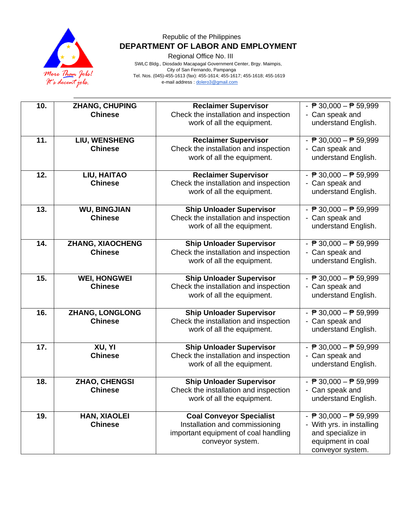

Regional Office No. III

 SWLC Bldg., Diosdado Macapagal Government Center, Brgy. Maimpis, City of San Fernando, Pampanga Tel. Nos. (045)-455-1613 (fax): 455-1614; 455-1617; 455-1618; 455-1619 e-mail address [: dolero3@gmail.com](mailto:dolero3@gmail.com)

| 10. | ZHANG, CHUPING          | <b>Reclaimer Supervisor</b>           | - $P$ 30,000 - $P$ 59,999                       |
|-----|-------------------------|---------------------------------------|-------------------------------------------------|
|     | <b>Chinese</b>          | Check the installation and inspection | - Can speak and                                 |
|     |                         | work of all the equipment.            | understand English.                             |
|     |                         |                                       |                                                 |
| 11. | LIU, WENSHENG           | <b>Reclaimer Supervisor</b>           | - $\overline{P}$ 30,000 - $\overline{P}$ 59,999 |
|     | <b>Chinese</b>          | Check the installation and inspection | - Can speak and                                 |
|     |                         | work of all the equipment.            | understand English.                             |
|     |                         |                                       |                                                 |
| 12. | LIU, HAITAO             | <b>Reclaimer Supervisor</b>           | - $\overline{P}$ 30,000 - $\overline{P}$ 59,999 |
|     | <b>Chinese</b>          | Check the installation and inspection | - Can speak and                                 |
|     |                         | work of all the equipment.            | understand English.                             |
|     |                         |                                       |                                                 |
| 13. | <b>WU, BINGJIAN</b>     | <b>Ship Unloader Supervisor</b>       | - $\sqrt{P}$ 30,000 - $\sqrt{P}$ 59,999         |
|     | <b>Chinese</b>          | Check the installation and inspection | - Can speak and                                 |
|     |                         | work of all the equipment.            | understand English.                             |
|     |                         |                                       |                                                 |
| 14. | <b>ZHANG, XIAOCHENG</b> | <b>Ship Unloader Supervisor</b>       | - $\overline{P}$ 30,000 - $\overline{P}$ 59,999 |
|     | <b>Chinese</b>          | Check the installation and inspection | - Can speak and                                 |
|     |                         | work of all the equipment.            | understand English.                             |
|     |                         |                                       |                                                 |
| 15. | <b>WEI, HONGWEI</b>     | <b>Ship Unloader Supervisor</b>       | - $\overline{P}$ 30,000 - $\overline{P}$ 59,999 |
|     | <b>Chinese</b>          | Check the installation and inspection | - Can speak and                                 |
|     |                         | work of all the equipment.            | understand English.                             |
|     |                         |                                       |                                                 |
| 16. | ZHANG, LONGLONG         | <b>Ship Unloader Supervisor</b>       | - $\overline{P}$ 30,000 - $\overline{P}$ 59,999 |
|     | <b>Chinese</b>          | Check the installation and inspection | - Can speak and                                 |
|     |                         | work of all the equipment.            | understand English.                             |
|     |                         |                                       |                                                 |
| 17. | XU, YI                  | <b>Ship Unloader Supervisor</b>       | - $\overline{P}$ 30,000 - $\overline{P}$ 59,999 |
|     | <b>Chinese</b>          | Check the installation and inspection | - Can speak and                                 |
|     |                         | work of all the equipment.            | understand English.                             |
| 18. | ZHAO, CHENGSI           | <b>Ship Unloader Supervisor</b>       | - $\overline{P}$ 30,000 - $\overline{P}$ 59,999 |
|     | <b>Chinese</b>          | Check the installation and inspection | - Can speak and                                 |
|     |                         | work of all the equipment.            | understand English.                             |
|     |                         |                                       |                                                 |
| 19. | <b>HAN, XIAOLEI</b>     | <b>Coal Conveyor Specialist</b>       | - $\overline{P}$ 30,000 - $\overline{P}$ 59,999 |
|     | <b>Chinese</b>          | Installation and commissioning        | - With yrs. in installing                       |
|     |                         | important equipment of coal handling  | and specialize in                               |
|     |                         | conveyor system.                      | equipment in coal                               |
|     |                         |                                       | conveyor system.                                |